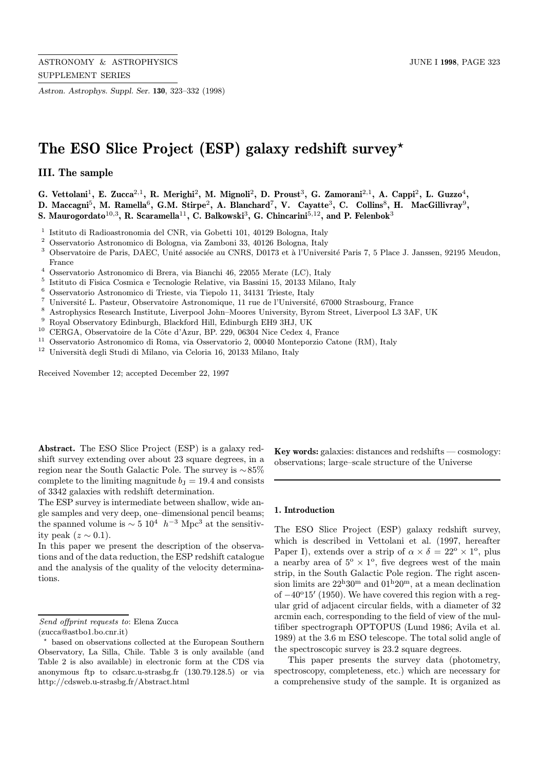Astron. Astrophys. Suppl. Ser. 130, 323–332 (1998)

# The ESO Slice Project (ESP) galaxy redshift survey\*

III. The sample

G. Vettolani<sup>1</sup>, E. Zucca<sup>2,1</sup>, R. Merighi<sup>2</sup>, M. Mignoli<sup>2</sup>, D. Proust<sup>3</sup>, G. Zamorani<sup>2,1</sup>, A. Cappi<sup>2</sup>, L. Guzzo<sup>4</sup>, D. Maccagni<sup>5</sup>, M. Ramella<sup>6</sup>, G.M. Stirpe<sup>2</sup>, A. Blanchard<sup>7</sup>, V. Cayatte<sup>3</sup>, C. Collins<sup>8</sup>, H. MacGillivray<sup>9</sup>,

S. Maurogordato<sup>10,3</sup>, R. Scaramella<sup>11</sup>, C. Balkowski<sup>3</sup>, G. Chincarini<sup>5,12</sup>, and P. Felenbok<sup>3</sup>

 $^{\rm 1}$ Istituto di Radioastronomia del CNR, via Gobetti 101, 40129 Bologna, Italy

<sup>2</sup> Osservatorio Astronomico di Bologna, via Zamboni 33, 40126 Bologna, Italy  $\frac{3}{2}$  Observatoire de Paris, DAEC, Unité associée au CNBS, D0173 et à l'Univers

- Observatoire de Paris, DAEC, Unité associée au CNRS, D0173 et à l'Université Paris 7, 5 Place J. Janssen, 92195 Meudon, France
- <sup>4</sup> Osservatorio Astronomico di Brera, via Bianchi 46, 22055 Merate (LC), Italy  $\frac{5}{5}$  Istitute di Fisice Corpies a Tecnologic Beletius, via Bessini 15, 20122 Milano
- <sup>5</sup> Istituto di Fisica Cosmica e Tecnologie Relative, via Bassini 15, 20133 Milano, Italy
- <sup>6</sup> Osservatorio Astronomico di Trieste, via Tiepolo 11, 34131 Trieste, Italy  $^7$  Université L. Posteur, Observatorio Astronomicus, 11 rue de l'Université
- <sup>7</sup> Universit´e L. Pasteur, Observatoire Astronomique, 11 rue de l'Universit´e, 67000 Strasbourg, France
- <sup>8</sup> Astrophysics Research Institute, Liverpool John–Moores University, Byrom Street, Liverpool L3 3AF, UK
- <sup>9</sup> Royal Observatory Edinburgh, Blackford Hill, Edinburgh EH9 3HJ, UK
- $^{10}\,$  CERGA, Observatoire de la Côte d'Azur, BP. 229, 06304 Nice Cedex 4, France
- <sup>11</sup> Osservatorio Astronomico di Roma, via Osservatorio 2, 00040 Monteporzio Catone (RM), Italy<br><sup>12</sup> Università degli Studi di Milane, via Caleria 16, 20122 Milane, Italy
- <sup>12</sup> Universit`a degli Studi di Milano, via Celoria 16, 20133 Milano, Italy

Received November 12; accepted December 22, 1997

Abstract. The ESO Slice Project (ESP) is a galaxy redshift survey extending over about 23 square degrees, in a region near the South Galactic Pole. The survey is ∼85% complete to the limiting magnitude  $b<sub>J</sub> = 19.4$  and consists of 3342 galaxies with redshift determination.

The ESP survey is intermediate between shallow, wide angle samples and very deep, one–dimensional pencil beams; the spanned volume is  $\sim 5 \times 10^4$  h<sup>-3</sup> Mpc<sup>3</sup> at the sensitivity peak  $(z \sim 0.1)$ .

In this paper we present the description of the observations and of the data reduction, the ESP redshift catalogue and the analysis of the quality of the velocity determinations.

Send offprint requests to: Elena Zucca

(zucca@astbo1.bo.cnr.it)

**Key words:** galaxies: distances and redshifts — cosmology: observations; large–scale structure of the Universe

## 1. Introduction

The ESO Slice Project (ESP) galaxy redshift survey, which is described in Vettolani et al. (1997, hereafter Paper I), extends over a strip of  $\alpha \times \delta = 22^{\circ} \times 1^{\circ}$ , plus a nearby area of  $5^{\circ} \times 1^{\circ}$ , five degrees west of the main strip, in the South Galactic Pole region. The right ascension limits are  $22^{\mathrm{h}}30^{\mathrm{m}}$  and  $01^{\mathrm{h}}20^{\mathrm{m}}$ , at a mean declination of  $-40^{\circ}15'$  (1950). We have covered this region with a regular grid of adjacent circular fields, with a diameter of 32 arcmin each, corresponding to the field of view of the multifiber spectrograph OPTOPUS (Lund 1986; Avila et al. 1989) at the 3.6 m ESO telescope. The total solid angle of the spectroscopic survey is 23.2 square degrees.

This paper presents the survey data (photometry, spectroscopy, completeness, etc.) which are necessary for a comprehensive study of the sample. It is organized as

based on observations collected at the European Southern Observatory, La Silla, Chile. Table 3 is only available (and Table 2 is also available) in electronic form at the CDS via anonymous ftp to cdsarc.u-strasbg.fr (130.79.128.5) or via http://cdsweb.u-strasbg.fr/Abstract.html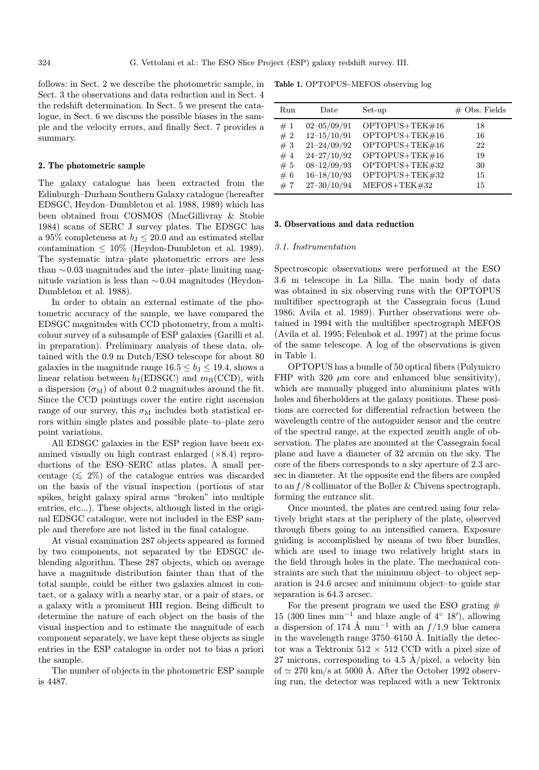follows: in Sect. 2 we describe the photometric sample, in Sect. 3 the observations and data reduction and in Sect. 4 the redshift determination. In Sect. 5 we present the catalogue, in Sect. 6 we discuss the possible biases in the sample and the velocity errors, and finally Sect. 7 provides a summary.

#### 2. The photometric sample

The galaxy catalogue has been extracted from the Edinburgh–Durham Southern Galaxy catalogue (hereafter EDSGC, Heydon–Dumbleton et al. 1988, 1989) which has been obtained from COSMOS (MacGillivray & Stobie 1984) scans of SERC J survey plates. The EDSGC has a 95% completeness at  $b<sub>J</sub> \le 20.0$  and an estimated stellar contamination  $\leq 10\%$  (Heydon-Dumbleton et al. 1989). The systematic intra–plate photometric errors are less than ∼0.03 magnitudes and the inter–plate limiting magnitude variation is less than ∼0.04 magnitudes (Heydon-Dumbleton et al. 1988).

In order to obtain an external estimate of the photometric accuracy of the sample, we have compared the EDSGC magnitudes with CCD photometry, from a multicolour survey of a subsample of ESP galaxies (Garilli et al. in preparation). Preliminary analysis of these data, obtained with the 0.9 m Dutch/ESO telescope for about 80 galaxies in the magnitude range  $16.5 \le b \le 19.4$ , shows a linear relation between  $b_J(EDSGC)$  and  $m_B(CCD)$ , with a dispersion  $(\sigma_M)$  of about 0.2 magnitudes around the fit. Since the CCD pointings cover the entire right ascension range of our survey, this  $\sigma_M$  includes both statistical errors within single plates and possible plate–to–plate zero point variations.

All EDSGC galaxies in the ESP region have been examined visually on high contrast enlarged  $(\times 8.4)$  reproductions of the ESO–SERC atlas plates. A small percentage ( $\lesssim 2\%$ ) of the catalogue entries was discarded on the basis of the visual inspection (portions of star spikes, bright galaxy spiral arms "broken" into multiple entries, etc...). These objects, although listed in the original EDSGC catalogue, were not included in the ESP sample and therefore are not listed in the final catalogue.

At visual examination 287 objects appeared as formed by two components, not separated by the EDSGC deblending algorithm. These 287 objects, which on average have a magnitude distribution fainter than that of the total sample, could be either two galaxies almost in contact, or a galaxy with a nearby star, or a pair of stars, or a galaxy with a prominent HII region. Being difficult to determine the nature of each object on the basis of the visual inspection and to estimate the magnitude of each component separately, we have kept these objects as single entries in the ESP catalogue in order not to bias a priori the sample.

The number of objects in the photometric ESP sample is 4487.

Table 1. OPTOPUS–MEFOS observing log

| Run | Date            | Set-up         | $#$ Obs. Fields |
|-----|-----------------|----------------|-----------------|
| #1  | $02 - 05/09/91$ | OPTOPUS+TEK#16 | 18              |
| #2  | $12 - 15/10/91$ | OPTOPUS+TEK#16 | 16              |
| #3  | $21 - 24/09/92$ | OPTOPUS+TEK#16 | 22              |
| #4  | $24 - 27/10/92$ | OPTOPUS+TEK#16 | 19              |
| #5  | $08 - 12/09/93$ | OPTOPUS+TEK#32 | 30              |
| #6  | $16 - 18/10/93$ | OPTOPUS+TEK#32 | 15              |
| #7  | $27 - 30/10/94$ | MEFOS+TEK#32   | 15              |

#### 3. Observations and data reduction

#### 3.1. Instrumentation

Spectroscopic observations were performed at the ESO 3.6 m telescope in La Silla. The main body of data was obtained in six observing runs with the OPTOPUS multifiber spectrograph at the Cassegrain focus (Lund 1986; Avila et al. 1989). Further observations were obtained in 1994 with the multifiber spectrograph MEFOS (Avila et al. 1995; Felenbok et al. 1997) at the prime focus of the same telescope. A log of the observations is given in Table 1.

OPTOPUS has a bundle of 50 optical fibers (Polymicro FHP with 320  $\mu$ m core and enhanced blue sensitivity), which are manually plugged into aluminium plates with holes and fiberholders at the galaxy positions. These positions are corrected for differential refraction between the wavelength centre of the autoguider sensor and the centre of the spectral range, at the expected zenith angle of observation. The plates are mounted at the Cassegrain focal plane and have a diameter of 32 arcmin on the sky. The core of the fibers corresponds to a sky aperture of 2.3 arcsec in diameter. At the opposite end the fibers are coupled to an  $f/8$  collimator of the Boller & Chivens spectrograph, forming the entrance slit.

Once mounted, the plates are centred using four relatively bright stars at the periphery of the plate, observed through fibers going to an intensified camera. Exposure guiding is accomplished by means of two fiber bundles, which are used to image two relatively bright stars in the field through holes in the plate. The mechanical constraints are such that the minimum object–to–object separation is 24.6 arcsec and minimum object–to–guide star separation is 64.3 arcsec.

For the present program we used the ESO grating  $#$ 15 (300 lines mm<sup>-1</sup> and blaze angle of  $4°$  18'), allowing a dispersion of 174 Å mm<sup>-1</sup> with an  $f/1.9$  blue camera in the wavelength range  $3750-6150$  Å. Initially the detector was a Tektronix  $512 \times 512$  CCD with a pixel size of 27 microns, corresponding to 4.5 Å/pixel, a velocity bin of  $\simeq$  270 km/s at 5000 Å. After the October 1992 observing run, the detector was replaced with a new Tektronix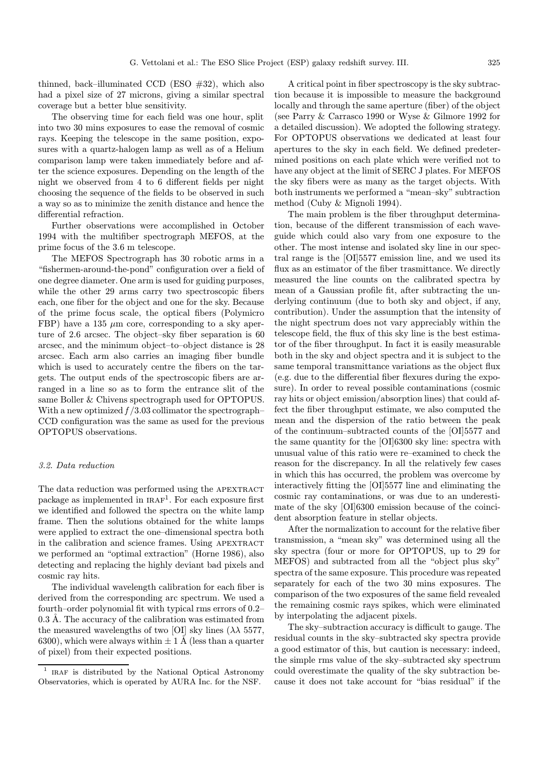thinned, back–illuminated CCD (ESO  $#32$ ), which also had a pixel size of 27 microns, giving a similar spectral coverage but a better blue sensitivity.

The observing time for each field was one hour, split into two 30 mins exposures to ease the removal of cosmic rays. Keeping the telescope in the same position, exposures with a quartz-halogen lamp as well as of a Helium comparison lamp were taken immediately before and after the science exposures. Depending on the length of the night we observed from 4 to 6 different fields per night choosing the sequence of the fields to be observed in such a way so as to minimize the zenith distance and hence the differential refraction.

Further observations were accomplished in October 1994 with the multifiber spectrograph MEFOS, at the prime focus of the 3.6 m telescope.

The MEFOS Spectrograph has 30 robotic arms in a "fishermen-around-the-pond" configuration over a field of one degree diameter. One arm is used for guiding purposes, while the other 29 arms carry two spectroscopic fibers each, one fiber for the object and one for the sky. Because of the prime focus scale, the optical fibers (Polymicro FBP) have a 135  $\mu$ m core, corresponding to a sky aperture of 2.6 arcsec. The object–sky fiber separation is 60 arcsec, and the minimum object–to–object distance is 28 arcsec. Each arm also carries an imaging fiber bundle which is used to accurately centre the fibers on the targets. The output ends of the spectroscopic fibers are arranged in a line so as to form the entrance slit of the same Boller & Chivens spectrograph used for OPTOPUS. With a new optimized  $f/3.03$  collimator the spectrograph– CCD configuration was the same as used for the previous OPTOPUS observations.

# 3.2. Data reduction

The data reduction was performed using the APEXTRACT package as implemented in  $IRAF<sup>1</sup>$ . For each exposure first we identified and followed the spectra on the white lamp frame. Then the solutions obtained for the white lamps were applied to extract the one–dimensional spectra both in the calibration and science frames. Using APEXTRACT we performed an "optimal extraction" (Horne 1986), also detecting and replacing the highly deviant bad pixels and cosmic ray hits.

The individual wavelength calibration for each fiber is derived from the corresponding arc spectrum. We used a fourth–order polynomial fit with typical rms errors of 0.2– 0.3 A. The accuracy of the calibration was estimated from the measured wavelengths of two [OI] sky lines ( $\lambda \lambda$  5577, 6300), which were always within  $\pm 1$  Å (less than a quarter of pixel) from their expected positions.

A critical point in fiber spectroscopy is the sky subtraction because it is impossible to measure the background locally and through the same aperture (fiber) of the object (see Parry & Carrasco 1990 or Wyse & Gilmore 1992 for a detailed discussion). We adopted the following strategy. For OPTOPUS observations we dedicated at least four apertures to the sky in each field. We defined predetermined positions on each plate which were verified not to have any object at the limit of SERC J plates. For MEFOS the sky fibers were as many as the target objects. With both instruments we performed a "mean–sky" subtraction method (Cuby & Mignoli 1994).

The main problem is the fiber throughput determination, because of the different transmission of each waveguide which could also vary from one exposure to the other. The most intense and isolated sky line in our spectral range is the [OI]5577 emission line, and we used its flux as an estimator of the fiber trasmittance. We directly measured the line counts on the calibrated spectra by mean of a Gaussian profile fit, after subtracting the underlying continuum (due to both sky and object, if any, contribution). Under the assumption that the intensity of the night spectrum does not vary appreciably within the telescope field, the flux of this sky line is the best estimator of the fiber throughput. In fact it is easily measurable both in the sky and object spectra and it is subject to the same temporal transmittance variations as the object flux (e.g. due to the differential fiber flexures during the exposure). In order to reveal possible contaminations (cosmic ray hits or object emission/absorption lines) that could affect the fiber throughput estimate, we also computed the mean and the dispersion of the ratio between the peak of the continuum–subtracted counts of the [OI]5577 and the same quantity for the [OI]6300 sky line: spectra with unusual value of this ratio were re–examined to check the reason for the discrepancy. In all the relatively few cases in which this has occurred, the problem was overcome by interactively fitting the [OI]5577 line and eliminating the cosmic ray contaminations, or was due to an underestimate of the sky [OI]6300 emission because of the coincident absorption feature in stellar objects.

After the normalization to account for the relative fiber transmission, a "mean sky" was determined using all the sky spectra (four or more for OPTOPUS, up to 29 for MEFOS) and subtracted from all the "object plus sky" spectra of the same exposure. This procedure was repeated separately for each of the two 30 mins exposures. The comparison of the two exposures of the same field revealed the remaining cosmic rays spikes, which were eliminated by interpolating the adjacent pixels.

The sky–subtraction accuracy is difficult to gauge. The residual counts in the sky–subtracted sky spectra provide a good estimator of this, but caution is necessary: indeed, the simple rms value of the sky–subtracted sky spectrum could overestimate the quality of the sky subtraction because it does not take account for "bias residual" if the

 $1$  IRAF is distributed by the National Optical Astronomy Observatories, which is operated by AURA Inc. for the NSF.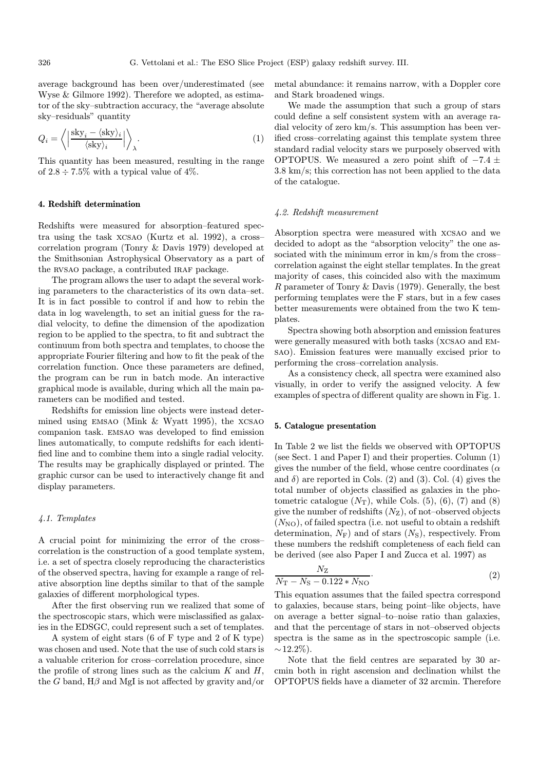average background has been over/underestimated (see Wyse & Gilmore 1992). Therefore we adopted, as estimator of the sky–subtraction accuracy, the "average absolute sky–residuals" quantity

$$
Q_i = \left\langle \left| \frac{\text{sky}_i - \langle \text{sky} \rangle_i}{\langle \text{sky} \rangle_i} \right| \right\rangle_{\lambda}.
$$
 (1)

This quantity has been measured, resulting in the range of  $2.8 \div 7.5\%$  with a typical value of 4%.

# 4. Redshift determination

Redshifts were measured for absorption–featured spectra using the task xcsao (Kurtz et al. 1992), a cross– correlation program (Tonry & Davis 1979) developed at the Smithsonian Astrophysical Observatory as a part of the RVSAO package, a contributed IRAF package.

The program allows the user to adapt the several working parameters to the characteristics of its own data–set. It is in fact possible to control if and how to rebin the data in log wavelength, to set an initial guess for the radial velocity, to define the dimension of the apodization region to be applied to the spectra, to fit and subtract the continuum from both spectra and templates, to choose the appropriate Fourier filtering and how to fit the peak of the correlation function. Once these parameters are defined, the program can be run in batch mode. An interactive graphical mode is available, during which all the main parameters can be modified and tested.

Redshifts for emission line objects were instead determined using emsao (Mink & Wyatt 1995), the xcsao companion task. emsao was developed to find emission lines automatically, to compute redshifts for each identified line and to combine them into a single radial velocity. The results may be graphically displayed or printed. The graphic cursor can be used to interactively change fit and display parameters.

## 4.1. Templates

A crucial point for minimizing the error of the cross– correlation is the construction of a good template system, i.e. a set of spectra closely reproducing the characteristics of the observed spectra, having for example a range of relative absorption line depths similar to that of the sample galaxies of different morphological types.

After the first observing run we realized that some of the spectroscopic stars, which were misclassified as galaxies in the EDSGC, could represent such a set of templates.

A system of eight stars (6 of F type and 2 of K type) was chosen and used. Note that the use of such cold stars is a valuable criterion for cross–correlation procedure, since the profile of strong lines such as the calcium  $K$  and  $H$ , the G band,  $H\beta$  and MgI is not affected by gravity and/or metal abundance: it remains narrow, with a Doppler core and Stark broadened wings.

We made the assumption that such a group of stars could define a self consistent system with an average radial velocity of zero km/s. This assumption has been verified cross–correlating against this template system three standard radial velocity stars we purposely observed with OPTOPUS. We measured a zero point shift of  $-7.4 \pm$ 3.8 km/s; this correction has not been applied to the data of the catalogue.

#### 4.2. Redshift measurement

Absorption spectra were measured with xcsao and we decided to adopt as the "absorption velocity" the one associated with the minimum error in km/s from the cross– correlation against the eight stellar templates. In the great majority of cases, this coincided also with the maximum R parameter of Tonry & Davis (1979). Generally, the best performing templates were the F stars, but in a few cases better measurements were obtained from the two K templates.

Spectra showing both absorption and emission features were generally measured with both tasks (xcsao and emsao). Emission features were manually excised prior to performing the cross–correlation analysis.

As a consistency check, all spectra were examined also visually, in order to verify the assigned velocity. A few examples of spectra of different quality are shown in Fig. 1.

## 5. Catalogue presentation

In Table 2 we list the fields we observed with OPTOPUS (see Sect. 1 and Paper I) and their properties. Column (1) gives the number of the field, whose centre coordinates ( $\alpha$ and  $\delta$ ) are reported in Cols. (2) and (3). Col. (4) gives the total number of objects classified as galaxies in the photometric catalogue  $(N_T)$ , while Cols. (5), (6), (7) and (8) give the number of redshifts  $(N<sub>Z</sub>)$ , of not–observed objects  $(N_{\rm NO})$ , of failed spectra (i.e. not useful to obtain a redshift determination,  $N_F$ ) and of stars  $(N_S)$ , respectively. From these numbers the redshift completeness of each field can be derived (see also Paper I and Zucca et al. 1997) as

$$
\frac{N_{\rm Z}}{N_{\rm T} - N_{\rm S} - 0.122 * N_{\rm NO}}.\tag{2}
$$

This equation assumes that the failed spectra correspond to galaxies, because stars, being point–like objects, have on average a better signal–to–noise ratio than galaxies, and that the percentage of stars in not–observed objects spectra is the same as in the spectroscopic sample (i.e.  $\sim$ 12.2%).

Note that the field centres are separated by 30 arcmin both in right ascension and declination whilst the OPTOPUS fields have a diameter of 32 arcmin. Therefore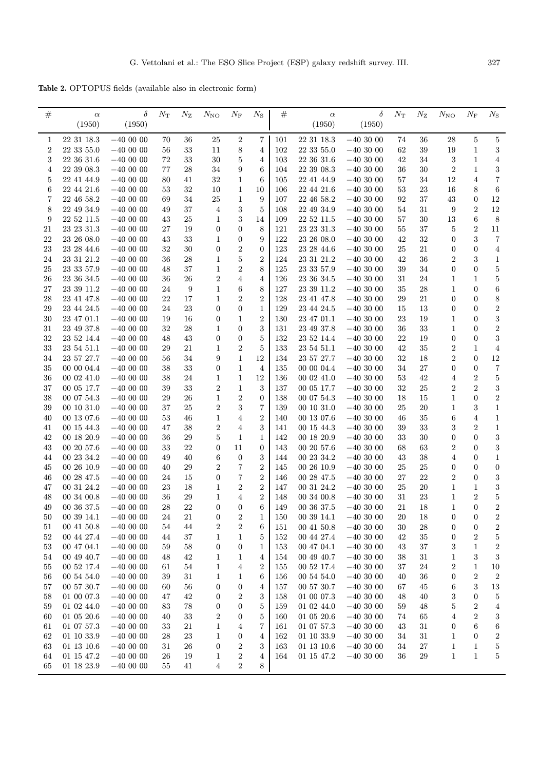Table 2. OPTOPUS fields (available also in electronic form)

| #              | $\alpha$                 | $\delta$             | $N_{\rm T}$ | $N_{\rm Z}$ | $N_{\rm NO}$          | $N_{\rm F}$               | $N_{\rm S}$         | #          | $\alpha$                 | $\delta$              | $N_{\rm T}$ | $N_{\rm Z}$  | $N_{\rm NO}$                       | $N_{\rm F}$         | $N_{\rm S}$             |
|----------------|--------------------------|----------------------|-------------|-------------|-----------------------|---------------------------|---------------------|------------|--------------------------|-----------------------|-------------|--------------|------------------------------------|---------------------|-------------------------|
|                | (1950)                   | (1950)               |             |             |                       |                           |                     |            | (1950)                   | (1950)                |             |              |                                    |                     |                         |
| 1              | 22 31 18.3               | $-40000$             | 70          | 36          | $25\,$                | $\overline{2}$            | $\overline{7}$      | 101        | 22 31 18.3               | $-40300$              | 74          | 36           | 28                                 | $\overline{5}$      | $\bf 5$                 |
| $\overline{2}$ | 22 33 55.0               | $-400000$            | 56          | 33          | 11                    | $8\,$                     | 4                   | 102        | 22 33 55.0               | $-40\ 30\ 00$         | $62\,$      | $39\,$       | 19                                 | 1                   | $\,3$                   |
| 3              | 22 36 31.6               | $-400000$            | 72          | 33          | 30                    | 5                         | 4                   | 103        | 22 36 31.6               | $-403000$             | 42          | 34           | 3                                  | 1                   | $\overline{\mathbf{4}}$ |
| 4              | 22 39 08.3               | $-40000$             | 77          | 28          | 34                    | 9                         | 6                   | 104        | 22 39 08.3               | $-40300$              | 36          | 30           | $\overline{2}$                     | 1                   | $\sqrt{3}$              |
| 5              | 22 41 44.9               | $-400000$            | 80          | 41          | 32                    | 1                         | 6                   | 105        | 22 41 44.9               | $-403000$             | 57          | 34           | 12                                 | $\overline{4}$      | $\scriptstyle{7}$       |
| 6              | 22 44 21.6               | $-400000$            | 53          | 32          | 10                    | $\mathbf{1}$              | 10                  | 106        | 22 44 21.6               | $-403000$             | 53          | 23           | 16                                 | 8                   | $\,6\,$                 |
| 7              | 22 46 58.2               | $-40000$             | 69          | 34          | 25                    | $\mathbf{1}$              | 9                   | 107        | 22 46 58.2               | $-403000$             | 92          | 37           | 43                                 | 0                   | $12\,$                  |
| 8              | 22 49 34.9               | $-400000$            | 49          | 37          | 4                     | 3                         | 5                   | 108        | 22 49 34.9               | $-403000$             | 54          | 31           | 9                                  | $\overline{2}$      | $12\,$                  |
| 9              | 22 52 11.5               | $-400000$            | 43          | $25\,$      | 1                     | 3                         | 14                  | 109        | 22 52 11.5               | $-40300$              | $57\,$      | 30           | 13                                 | 6                   | 8                       |
| 21             | 23 23 31.3               | $-40000$             | 27          | 19          | 0                     | $\boldsymbol{0}$          | 8                   | 121        | 23 23 31.3               | $-403000$             | 55          | 37           | 5                                  | $\overline{2}$      | 11                      |
| 22             | 23 26 08.0               | $-400000$            | 43          | 33          | $\mathbf{1}$          | $\boldsymbol{0}$          | 9                   | 122        | 23 26 08.0               | $-403000$             | 42          | 32<br>$21\,$ | $\boldsymbol{0}$                   | 3                   | $\overline{7}$          |
| 23             | 23 28 44.6               | $-40000$<br>$-40000$ | 32          | 30          | 0                     | $\sqrt{2}$                | 0<br>$\overline{2}$ | 123        | 23 28 44.6               | $-403000$<br>$-40300$ | 25<br>42    | 36           | $\boldsymbol{0}$<br>$\overline{2}$ | 0                   | $\overline{4}$          |
| 24<br>25       | 23 31 21.2<br>23 33 57.9 | $-40000$             | 36<br>48    | 28<br>37    | $\mathbf{1}$          | $\bf 5$<br>$\overline{2}$ | 8                   | 124<br>125 | 23 31 21.2<br>23 33 57.9 | $-40\ 30\ 00$         | 39          | 34           | $\boldsymbol{0}$                   | 3<br>$\overline{0}$ | $\mathbf{1}$<br>$\bf 5$ |
| 26             | 23 36 34.5               | $-40000$             | 36          | 26          | 1<br>$\boldsymbol{2}$ | $\overline{4}$            | 4                   | 126        | 23 36 34.5               | $-403000$             | 31          | 24           | 1                                  | 1                   | $\bf 5$                 |
| 27             | 23 39 11.2               | $-40000$             | 24          | 9           | 1                     | 6                         | 8                   | 127        | 23 39 11.2               | $-40300$              | 35          | $28\,$       | 1                                  | 0                   | $\,6\,$                 |
| 28             | 23 41 47.8               | $-40000$             | 22          | 17          | 1                     | $\boldsymbol{2}$          | $\boldsymbol{2}$    | 128        | 23 41 47.8               | $-40300$              | 29          | $21\,$       | $\boldsymbol{0}$                   | 0                   | $\,8\,$                 |
| 29             | 23 44 24.5               | $-40000$             | 24          | 23          | $\boldsymbol{0}$      | 0                         | $\mathbf 1$         | 129        | 23 44 24.5               | $-403000$             | 15          | 13           | $\boldsymbol{0}$                   | 0                   | $\,2$                   |
| $30\,$         | 23 47 01.1               | $-400000$            | 19          | 16          | 0                     | 1                         | $\overline{2}$      | 130        | 23 47 01.1               | $-403000$             | 23          | 19           | 1                                  | 0                   | $\,3$                   |
| 31             | 23 49 37.8               | $-40000$             | 32          | 28          | 1                     | $\boldsymbol{0}$          | 3                   | 131        | 23 49 37.8               | $-403000$             | 36          | 33           | 1                                  | 0                   | $\,2$                   |
| 32             | 23 52 14.4               | $-40000$             | 48          | 43          | 0                     | $\boldsymbol{0}$          | 5                   | 132        | 23 52 14.4               | $-403000$             | 22          | 19           | 0                                  | 0                   | $\,3$                   |
| 33             | 23 54 51.1               | $-40000$             | 29          | 21          | 1                     | $\overline{2}$            | 5                   | 133        | 23 54 51.1               | $-403000$             | 42          | $35\,$       | $\overline{2}$                     | 1                   | $\overline{4}$          |
| 34             | 23 57 27.7               | $-400000$            | 56          | 34          | 9                     | $\mathbf{1}$              | 12                  | 134        | 23 57 27.7               | $-403000$             | 32          | 18           | $\boldsymbol{2}$                   | $\overline{0}$      | $12\,$                  |
| 35             | 00 00 04.4               | $-40000$             | 38          | $33\,$      | 0                     | $\mathbf{1}$              | $\overline{4}$      | 135        | 00 00 04.4               | $-403000$             | 34          | $27\,$       | $\boldsymbol{0}$                   | $\overline{0}$      | $\,7$                   |
| 36             | 00 02 41.0               | $-40000$             | 38          | 24          | 1                     | 1                         | 12                  | 136        | 00 02 41.0               | $-40300$              | 53          | 42           | 4                                  | $\overline{2}$      | $\bf 5$                 |
| 37             | 00 05 17.7               | $-400000$            | 39          | 33          | $\overline{2}$        | $\mathbf{1}$              | 3                   | 137        | 00 05 17.7               | $-403000$             | 32          | $25\,$       | $\overline{2}$                     | $\overline{2}$      | $\,3$                   |
| $38\,$         | 00 07 54.3               | $-40000$             | 29          | 26          | $\mathbf{1}$          | $\overline{2}$            | $\boldsymbol{0}$    | 138        | 00 07 54.3               | $-40300$              | 18          | 15           | $\mathbf{1}$                       | 0                   | $\,2$                   |
| 39             | 00 10 31.0               | $-40000$             | 37          | $25\,$      | $\overline{2}$        | $\,3$                     | $\overline{7}$      | 139        | 00 10 31.0               | $-40300$              | $25\,$      | 20           | $\mathbf{1}$                       | 3                   | $\mathbf 1$             |
| 40             | 00 13 07.6               | $-40000$             | 53          | 46          | $\mathbf{1}$          | $\overline{4}$            | $\boldsymbol{2}$    | 140        | 00 13 07.6               | $-40300$              | 46          | $35\,$       | 6                                  | $\overline{4}$      | $\mathbf{1}$            |
| 41             | 00 15 44.3               | $-40000$             | 47          | 38          | $\overline{2}$        | 4                         | 3                   | 141        | 00 15 44.3               | $-40300$              | 39          | 33           | 3                                  | $\overline{2}$      | $\mathbf{1}$            |
| 42             | 00 18 20.9               | $-40000$             | 36          | 29          | 5                     | $\mathbf{1}$              | 1                   | 142        | 00 18 20.9               | $-403000$             | 33          | 30           | $\boldsymbol{0}$                   | 0                   | $\,3$                   |
| 43             | 00 20 57.6               | $-400000$            | 33          | 22          | 0                     | 11                        | $\mathbf{0}$        | 143        | 00 20 57.6               | $-403000$             | 68          | 63           | 2                                  | 0                   | $\,3$                   |
| 44             | 00 23 34.2               | $-40000$             | 49          | 40          | 6                     | $\boldsymbol{0}$          | 3                   | 144        | 00 23 34.2               | $-40300$              | 43          | $38\,$       | 4                                  | 0                   | $\mathbf{1}$            |
| 45             | 00 26 10.9               | $-40000$             | 40          | 29          | $\overline{2}$        | $\,7$                     | $\overline{2}$      | 145        | 00 26 10.9               | $-40300$              | 25          | $25\,$       | $\boldsymbol{0}$                   | 0                   | $\boldsymbol{0}$        |
| 46             | 00 28 47.5               | $-400000$            | 24          | 15          | 0                     | $\overline{\mathbf{7}}$   | $\boldsymbol{2}$    | 146        | 00 28 47.5               | $-403000$             | 27          | 22           | $\boldsymbol{2}$                   | $\overline{0}$      | $\,3$                   |
| 47             | 00 31 24.2               | $-40000$             | 23          | 18          | $\mathbf{1}$          | $\overline{2}$            | $\overline{2}$      | 147        | 00 31 24.2               | $-403000$             | 25          | $20\,$       | $\mathbf{1}$                       | 1                   | $\,3$                   |
| 48             | 00 34 00.8               | $-400000$            | 36          | 29          | $\mathbf{1}$          | $\overline{4}$            | $\overline{2}$      | 148        | 00 34 00.8               | $-403000$             | 31          | 23           | $\mathbf{1}$                       | $\overline{2}$      | $\bf 5$                 |
| 49             | 00 36 37.5               | $-40000$             | 28          | 22          | 0                     | 0                         | 6                   | 149        | 00 36 37.5               | $-40300$              | 21          | 18           | 1                                  | 0                   | $\overline{2}$          |
| 50             | 00 39 14.1               | $-400000$            | 24          | 21          | 0                     | $\boldsymbol{2}$          | 1                   | 150        | 00 39 14.1               | $-403000$             | 20          | 18           | 0                                  | 0                   | $\boldsymbol{2}$        |
| 51             | 00 41 50.8               | $-400000$            | 54          | 44          | $\sqrt{2}$            | $\overline{2}$            | $\,6$               | 151        | $00$ 41 50.8             | $-403000$             | 30          | $28\,$       | $\boldsymbol{0}$                   | $\boldsymbol{0}$    | $\,2$                   |
| 52             | 00 44 27.4               | $-400000$            | 44          | $37\,$      | $\mathbf{1}$          | $\mathbf{1}$              | 5                   | 152        | 00 44 27.4               | $-403000$             | 42          | $35\,$       | $\boldsymbol{0}$                   | $\boldsymbol{2}$    | $\bf 5$                 |
| 53             | 00 47 04.1               | $-400000$            | 59          | 58          | 0                     | $\boldsymbol{0}$          | 1                   | 153        | 00 47 04.1               | $-40300$              | 43          | $37\,$       | 3                                  | $\mathbf 1$         | $\,2$                   |
| 54             | 00 49 40.7               | $-40000$             | 48          | $42\,$      | 1                     | 1                         | $\overline{4}$      | 154        | 00 49 40.7               | $-40300$              | 38          | $31\,$       | 1                                  | 3                   | $\,3$                   |
| 55             | 00 52 17.4               | $-400000$            | 61          | 54          | 1                     | $\overline{\mathbf{4}}$   | $\boldsymbol{2}$    | 155        | 00 52 17.4               | $-403000$             | 37          | 24           | 2                                  | $\mathbf{1}$        | $10\,$                  |
| 56             | 00 54 54.0               | $-40\ 00\ 00$        | 39          | 31          | 1                     | 1                         | 6                   | 156        | 00 54 54.0               | $-403000$             | 40          | 36           | $\boldsymbol{0}$                   | $\sqrt{2}$          | $\overline{2}$          |
| 57             | 00 57 30.7               | $-40000$             | 60          | 56          | 0                     | $\boldsymbol{0}$          | 4                   | 157        | 00 57 30.7               | $-403000$             | 67          | 45           | 6                                  | 3                   | $13\,$                  |
| 58             | 01 00 07.3               | $-400000$            | 47          | 42          | 0                     | $\,2$                     | 3                   | 158        | 01 00 07.3               | $-403000$             | 48          | 40           | 3                                  | $\boldsymbol{0}$    | $\overline{5}$          |
| 59             | 01 02 44.0               | $-400000$            | 83          | 78          | 0                     | $\boldsymbol{0}$          | 5                   | 159        | 01 02 44.0               | $-403000$             | 59          | 48           | 5                                  | $\boldsymbol{2}$    | $\overline{\mathbf{4}}$ |
| 60             | $01\ 05\ 20.6$           | $-40000$             | 40          | 33          | $\boldsymbol{2}$      | 0                         | 5                   | 160        | 01 05 20.6               | $-403000$             | 74          | 65           | 4                                  | $\sqrt{2}$          | $\,3$                   |
| 61             | 01 07 57.3               | $-40000$             | 33          | 21          | 1                     | 4                         | 7                   | 161        | 01 07 57.3               | $-40300$              | 43          | 31           | 0                                  | 6                   | $\,6\,$                 |
| 62             | $01$ 10 33.9             | $-40\ 00\ 00$        | 28          | 23          | $\mathbf{1}$          | $\boldsymbol{0}$          | 4                   | 162        | 01 10 33.9               | $-40300$              | 34          | $31\,$       | $\mathbf{1}$                       | $\overline{0}$      | $\,2$                   |
| 63             | $01\ 13\ 10.6$           | $-40000$             | 31          | 26          | 0                     | $\,2$                     | 3                   | 163        | $01\ 13\ 10.6$           | $-403000$             | 34          | $27\,$       | $\,1$                              | $\,1$               | $\bf 5$                 |
| 64             | 01 15 47.2               | $-400000$            | 26          | 19          | $\mathbf{1}$          | $\,2$                     | 4                   | 164        | 01 15 47.2               | $-40300$              | 36          | $\,29$       | $\mathbf{1}$                       | $\mathbf{1}$        | $\overline{5}$          |
| 65             | $01\ 18\ 23.9$           | $-400000$            | 55          | 41          | 4                     | $\overline{2}$            | 8                   |            |                          |                       |             |              |                                    |                     |                         |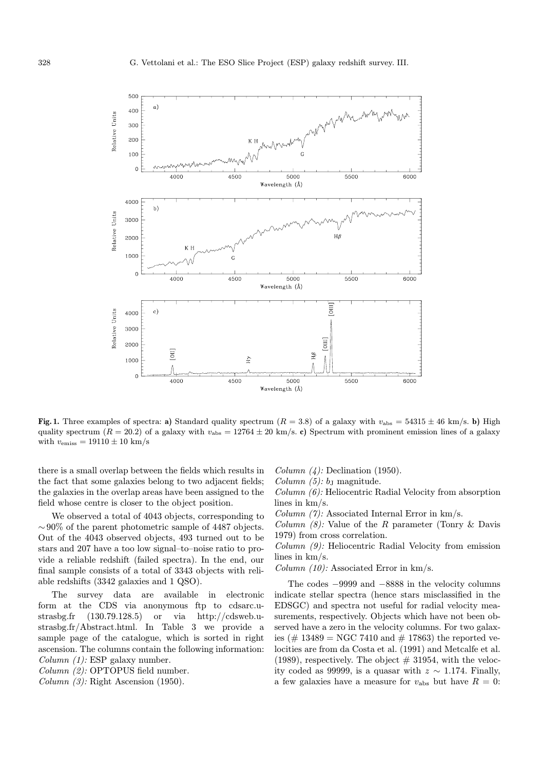

Fig. 1. Three examples of spectra: a) Standard quality spectrum ( $R = 3.8$ ) of a galaxy with  $v_{\text{abs}} = 54315 \pm 46$  km/s. b) High quality spectrum  $(R = 20.2)$  of a galaxy with  $v_{\text{abs}} = 12764 \pm 20$  km/s. c) Spectrum with prominent emission lines of a galaxy with  $v_{\text{emiss}} = 19110 \pm 10 \text{ km/s}$ 

there is a small overlap between the fields which results in the fact that some galaxies belong to two adjacent fields; the galaxies in the overlap areas have been assigned to the field whose centre is closer to the object position.

We observed a total of 4043 objects, corresponding to  $\sim 90\%$  of the parent photometric sample of 4487 objects. Out of the 4043 observed objects, 493 turned out to be stars and 207 have a too low signal–to–noise ratio to provide a reliable redshift (failed spectra). In the end, our final sample consists of a total of 3343 objects with reliable redshifts (3342 galaxies and 1 QSO).

The survey data are available in electronic form at the CDS via anonymous ftp to cdsarc.ustrasbg.fr (130.79.128.5) or via http://cdsweb.ustrasbg.fr/Abstract.html. In Table 3 we provide a sample page of the catalogue, which is sorted in right ascension. The columns contain the following information:  $Column (1): ESP galaxy number.$ 

Column (2): OPTOPUS field number.

Column  $(3)$ : Right Ascension  $(1950)$ .

Column  $(4)$ : Declination (1950).

Column  $(5)$ :  $b<sub>J</sub>$  magnitude.

Column (6): Heliocentric Radial Velocity from absorption lines in km/s.

Column (7): Associated Internal Error in km/s.

Column  $(8)$ : Value of the R parameter (Tonry & Davis 1979) from cross correlation.

Column (9): Heliocentric Radial Velocity from emission lines in km/s.

Column  $(10)$ : Associated Error in km/s.

The codes −9999 and −8888 in the velocity columns indicate stellar spectra (hence stars misclassified in the EDSGC) and spectra not useful for radial velocity measurements, respectively. Objects which have not been observed have a zero in the velocity columns. For two galaxies (# 13489 = NGC 7410 and # 17863) the reported velocities are from da Costa et al. (1991) and Metcalfe et al. (1989), respectively. The object  $\#$  31954, with the velocity coded as 99999, is a quasar with z ∼ 1.174. Finally, a few galaxies have a measure for  $v_{\text{abs}}$  but have  $R = 0$ :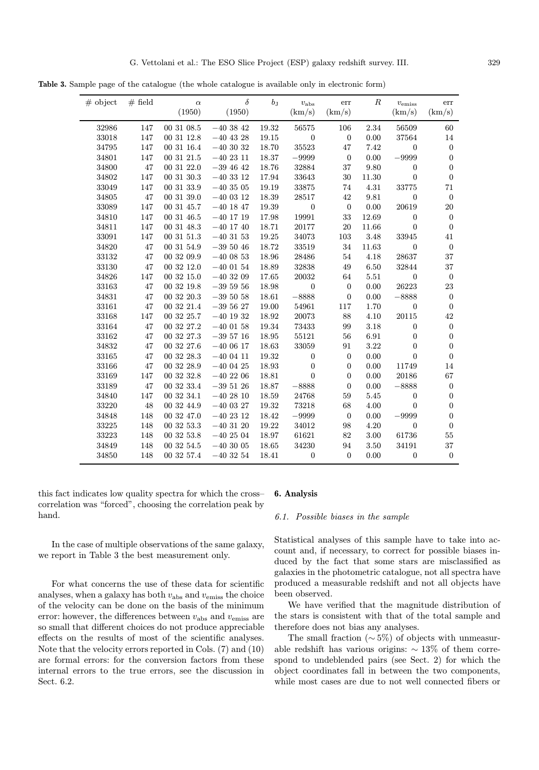Table 3. Sample page of the catalogue (the whole catalogue is available only in electronic form)

| # object | $#$ field | $\alpha$   | $\delta$      | $b_{\text{J}}$ | $v_{\rm abs}$    | $\ensuremath{\textup{err}}\xspace$ | $\boldsymbol{R}$ | $v_{\rm emiss}$  | err              |
|----------|-----------|------------|---------------|----------------|------------------|------------------------------------|------------------|------------------|------------------|
|          |           | (1950)     | (1950)        |                | (km/s)           | (km/s)                             |                  | (km/s)           | (km/s)           |
| 32986    | 147       | 00 31 08.5 | $-403842$     | 19.32          | 56575            | 106                                | 2.34             | 56509            | 60               |
| 33018    | 147       | 00 31 12.8 | $-40$ 43 28   | 19.15          | $\boldsymbol{0}$ | $\overline{0}$                     | 0.00             | 37564            | 14               |
| 34795    | 147       | 003116.4   | $-40$ 30 32   | 18.70          | 35523            | 47                                 | 7.42             | $\boldsymbol{0}$ | $\boldsymbol{0}$ |
| 34801    | 147       | 00 31 21.5 | $-402311$     | 18.37          | $-9999$          | $\overline{0}$                     | 0.00             | $-9999$          | $\boldsymbol{0}$ |
| 34800    | 47        | 00 31 22.0 | $-39\ 46\ 42$ | 18.76          | 32884            | 37                                 | 9.80             | $\overline{0}$   | $\boldsymbol{0}$ |
| 34802    | 147       | 00 31 30.3 | $-403312$     | $17.94\,$      | 33643            | 30                                 | 11.30            | $\overline{0}$   | $\boldsymbol{0}$ |
| 33049    | 147       | 003133.9   | $-403505$     | 19.19          | 33875            | 74                                 | $4.31\,$         | 33775            | $71\,$           |
| 34805    | 47        | 00 31 39.0 | $-40$ 03 12   | 18.39          | 28517            | 42                                 | 9.81             | $\boldsymbol{0}$ | $\mathbf{0}$     |
| 33089    | 147       | 00 31 45.7 | $-40$ 18 47   | 19.39          | $\boldsymbol{0}$ | $\mathbf{0}$                       | 0.00             | 20619            | 20               |
| 34810    | 147       | 00 31 46.5 | $-40\ 17\ 19$ | 17.98          | 19991            | 33                                 | 12.69            | $\overline{0}$   | $\boldsymbol{0}$ |
| 34811    | 147       | 00 31 48.3 | $-40$ 17 $40$ | 18.71          | 20177            | 20                                 | 11.66            | $\boldsymbol{0}$ | $\boldsymbol{0}$ |
| 33091    | 147       | 00 31 51.3 | $-403153$     | 19.25          | 34073            | 103                                | 3.48             | 33945            | 41               |
| 34820    | 47        | 00 31 54.9 | $-395046$     | 18.72          | 33519            | 34                                 | 11.63            | $\boldsymbol{0}$ | $\boldsymbol{0}$ |
| 33132    | 47        | 00 32 09.9 | $-40\ 08\ 53$ | 18.96          | 28486            | 54                                 | 4.18             | 28637            | 37               |
| 33130    | 47        | 00 32 12.0 | $-40$ 01 54   | 18.89          | 32838            | 49                                 | 6.50             | 32844            | 37               |
| 34826    | 147       | 00 32 15.0 | $-403209$     | 17.65          | 20032            | 64                                 | $5.51\,$         | $\boldsymbol{0}$ | $\mathbf{0}$     |
| 33163    | 47        | 00 32 19.8 | $-395956$     | 18.98          | $\boldsymbol{0}$ | $\overline{0}$                     | 0.00             | 26223            | 23               |
| 34831    | 47        | 00 32 20.3 | $-395058$     | 18.61          | $-8888$          | $\boldsymbol{0}$                   | 0.00             | $-8888$          | $\boldsymbol{0}$ |
| 33161    | 47        | 00 32 21.4 | $-395627$     | $19.00\,$      | 54961            | 117                                | 1.70             | $\boldsymbol{0}$ | $\theta$         |
| 33168    | 147       | 00 32 25.7 | $-40$ 19 32   | 18.92          | 20073            | 88                                 | 4.10             | 20115            | 42               |
| 33164    | 47        | 00 32 27.2 | $-40$ 01 58   | 19.34          | 73433            | 99                                 | 3.18             | $\boldsymbol{0}$ | $\boldsymbol{0}$ |
| 33162    | 47        | 00 32 27.3 | $-395716$     | 18.95          | 55121            | 56                                 | 6.91             | $\boldsymbol{0}$ | $\boldsymbol{0}$ |
| 34832    | 47        | 00 32 27.6 | $-400617$     | 18.63          | 33059            | 91                                 | 3.22             | $\overline{0}$   | $\boldsymbol{0}$ |
| 33165    | 47        | 00 32 28.3 | $-400411$     | 19.32          | $\overline{0}$   | $\overline{0}$                     | 0.00             | $\overline{0}$   | $\boldsymbol{0}$ |
| 33166    | 47        | 00 32 28.9 | $-40$ 04 $25$ | 18.93          | $\boldsymbol{0}$ | $\overline{0}$                     | 0.00             | 11749            | 14               |
| 33169    | 147       | 00 32 32.8 | $-402206$     | 18.81          | $\theta$         | $\overline{0}$                     | 0.00             | 20186            | 67               |
| 33189    | 47        | 003233.4   | $-39\ 51\ 26$ | 18.87          | $-8888$          | $\boldsymbol{0}$                   | 0.00             | $-8888$          | $\boldsymbol{0}$ |
| 34840    | 147       | 00 32 34.1 | $-402810$     | 18.59          | 24768            | 59                                 | 5.45             | $\boldsymbol{0}$ | $\boldsymbol{0}$ |
| 33220    | 48        | 00 32 44.9 | $-40\ 03\ 27$ | 19.32          | 73218            | 68                                 | 4.00             | $\boldsymbol{0}$ | $\boldsymbol{0}$ |
| 34848    | 148       | 00 32 47.0 | $-40$ 23 12   | 18.42          | $-9999$          | $\overline{0}$                     | 0.00             | $-9999$          | $\boldsymbol{0}$ |
| 33225    | 148       | 00 32 53.3 | $-40$ 31 20   | $19.22\,$      | 34012            | 98                                 | 4.20             | $\boldsymbol{0}$ | $\boldsymbol{0}$ |
| 33223    | 148       | 00 32 53.8 | $-40$ 25 04   | 18.97          | 61621            | 82                                 | 3.00             | 61736            | $55\,$           |
| 34849    | 148       | 00 32 54.5 | $-403005$     | 18.65          | 34230            | 94                                 | 3.50             | 34191            | 37               |
| 34850    | 148       | 00 32 57.4 | $-403254$     | 18.41          | $\boldsymbol{0}$ | $\overline{0}$                     | 0.00             | $\boldsymbol{0}$ | $\boldsymbol{0}$ |

this fact indicates low quality spectra for which the cross– correlation was "forced", choosing the correlation peak by hand.

Ĭ.

In the case of multiple observations of the same galaxy, we report in Table 3 the best measurement only.

For what concerns the use of these data for scientific analyses, when a galaxy has both  $v_{\text{abs}}$  and  $v_{\text{emiss}}$  the choice of the velocity can be done on the basis of the minimum error: however, the differences between  $v_{\text{abs}}$  and  $v_{\text{emiss}}$  are so small that different choices do not produce appreciable effects on the results of most of the scientific analyses. Note that the velocity errors reported in Cols. (7) and (10) are formal errors: for the conversion factors from these internal errors to the true errors, see the discussion in Sect. 6.2.

## 6. Analysis

6.1. Possible biases in the sample

Statistical analyses of this sample have to take into account and, if necessary, to correct for possible biases induced by the fact that some stars are misclassified as galaxies in the photometric catalogue, not all spectra have produced a measurable redshift and not all objects have been observed.

We have verified that the magnitude distribution of the stars is consistent with that of the total sample and therefore does not bias any analyses.

The small fraction  $(\sim 5\%)$  of objects with unmeasurable redshift has various origins:  $\sim 13\%$  of them correspond to undeblended pairs (see Sect. 2) for which the object coordinates fall in between the two components, while most cases are due to not well connected fibers or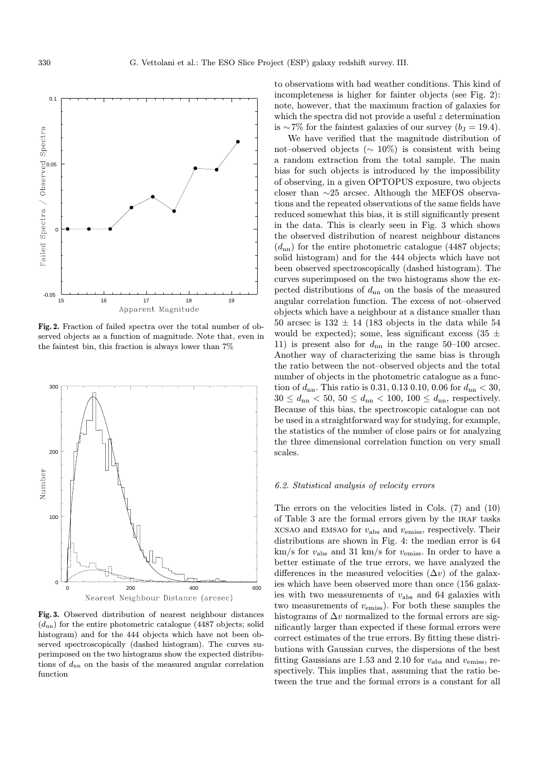

Fig. 2. Fraction of failed spectra over the total number of observed objects as a function of magnitude. Note that, even in the faintest bin, this fraction is always lower than 7%



Fig. 3. Observed distribution of nearest neighbour distances  $(d<sub>nn</sub>)$  for the entire photometric catalogue (4487 objects; solid histogram) and for the 444 objects which have not been observed spectroscopically (dashed histogram). The curves superimposed on the two histograms show the expected distributions of  $d_{nn}$  on the basis of the measured angular correlation function

to observations with bad weather conditions. This kind of incompleteness is higher for fainter objects (see Fig. 2): note, however, that the maximum fraction of galaxies for which the spectra did not provide a useful z determination is ∼7% for the faintest galaxies of our survey  $(b<sub>J</sub> = 19.4)$ .

We have verified that the magnitude distribution of not–observed objects ( $\sim 10\%$ ) is consistent with being a random extraction from the total sample. The main bias for such objects is introduced by the impossibility of observing, in a given OPTOPUS exposure, two objects closer than ∼25 arcsec. Although the MEFOS observations and the repeated observations of the same fields have reduced somewhat this bias, it is still significantly present in the data. This is clearly seen in Fig. 3 which shows the observed distribution of nearest neighbour distances  $(d<sub>nn</sub>)$  for the entire photometric catalogue (4487 objects; solid histogram) and for the 444 objects which have not been observed spectroscopically (dashed histogram). The curves superimposed on the two histograms show the expected distributions of  $d_{nn}$  on the basis of the measured angular correlation function. The excess of not–observed objects which have a neighbour at a distance smaller than 50 arcsec is  $132 \pm 14$  (183 objects in the data while 54 would be expected); some, less significant excess (35  $\pm$ 11) is present also for  $d_{nn}$  in the range 50–100 arcsec. Another way of characterizing the same bias is through the ratio between the not–observed objects and the total number of objects in the photometric catalogue as a function of  $d_{\rm nn}$ . This ratio is 0.31, 0.13 0.10, 0.06 for  $d_{\rm nn} < 30$ ,  $30 \le d_{\rm nn} < 50, 50 \le d_{\rm nn} < 100, 100 \le d_{\rm nn}$ , respectively. Because of this bias, the spectroscopic catalogue can not be used in a straightforward way for studying, for example, the statistics of the number of close pairs or for analyzing the three dimensional correlation function on very small scales.

## 6.2. Statistical analysis of velocity errors

The errors on the velocities listed in Cols. (7) and (10) of Table 3 are the formal errors given by the IRAF tasks  $XCSAO$  and EMSAO for  $v_{\text{abs}}$  and  $v_{\text{emiss}}$ , respectively. Their distributions are shown in Fig. 4: the median error is 64  $km/s$  for  $v_{abs}$  and 31 km/s for  $v_{emiss}$ . In order to have a better estimate of the true errors, we have analyzed the differences in the measured velocities  $(\Delta v)$  of the galaxies which have been observed more than once (156 galaxies with two measurements of  $v_{\text{abs}}$  and 64 galaxies with two measurements of  $v_{\text{emiss}}$ ). For both these samples the histograms of  $\Delta v$  normalized to the formal errors are significantly larger than expected if these formal errors were correct estimates of the true errors. By fitting these distributions with Gaussian curves, the dispersions of the best fitting Gaussians are 1.53 and 2.10 for  $v_{\text{abs}}$  and  $v_{\text{emiss}}$ , respectively. This implies that, assuming that the ratio between the true and the formal errors is a constant for all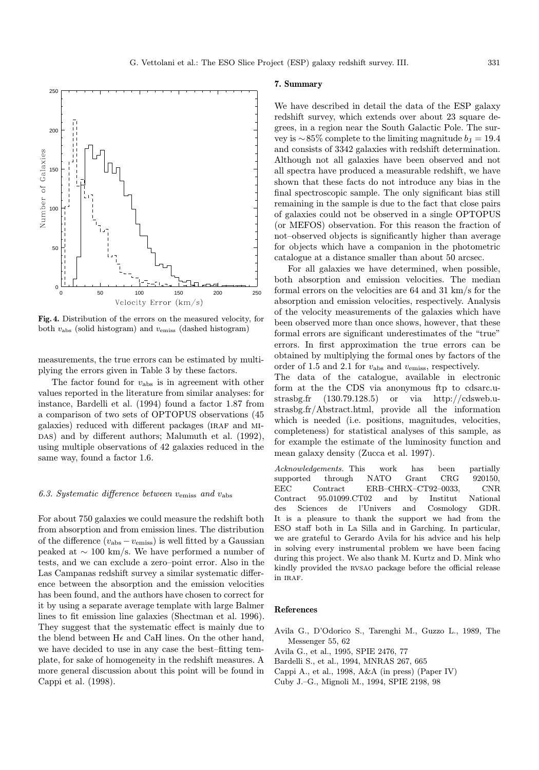

Fig. 4. Distribution of the errors on the measured velocity, for both  $v_{\text{abs}}$  (solid histogram) and  $v_{\text{emiss}}$  (dashed histogram)

measurements, the true errors can be estimated by multiplying the errors given in Table 3 by these factors.

The factor found for  $v_{\text{abs}}$  is in agreement with other values reported in the literature from similar analyses: for instance, Bardelli et al. (1994) found a factor 1.87 from a comparison of two sets of OPTOPUS observations (45 galaxies) reduced with different packages (IRAF and MI-DAS) and by different authors; Malumuth et al. (1992), using multiple observations of 42 galaxies reduced in the same way, found a factor 1.6.

# 6.3. Systematic difference between  $v_{\text{emiss}}$  and  $v_{\text{abs}}$

For about 750 galaxies we could measure the redshift both from absorption and from emission lines. The distribution of the difference  $(v_{\text{abs}} - v_{\text{emiss}})$  is well fitted by a Gaussian peaked at  $\sim$  100 km/s. We have performed a number of tests, and we can exclude a zero–point error. Also in the Las Campanas redshift survey a similar systematic difference between the absorption and the emission velocities has been found, and the authors have chosen to correct for it by using a separate average template with large Balmer lines to fit emission line galaxies (Shectman et al. 1996). They suggest that the systematic effect is mainly due to the blend between  $H\epsilon$  and CaH lines. On the other hand, we have decided to use in any case the best–fitting template, for sake of homogeneity in the redshift measures. A more general discussion about this point will be found in Cappi et al. (1998).

### 7. Summary

We have described in detail the data of the ESP galaxy redshift survey, which extends over about 23 square degrees, in a region near the South Galactic Pole. The survey is ∼85% complete to the limiting magnitude  $b_1 = 19.4$ and consists of 3342 galaxies with redshift determination. Although not all galaxies have been observed and not all spectra have produced a measurable redshift, we have shown that these facts do not introduce any bias in the final spectroscopic sample. The only significant bias still remaining in the sample is due to the fact that close pairs of galaxies could not be observed in a single OPTOPUS (or MEFOS) observation. For this reason the fraction of not–observed objects is significantly higher than average for objects which have a companion in the photometric catalogue at a distance smaller than about 50 arcsec.

For all galaxies we have determined, when possible, both absorption and emission velocities. The median formal errors on the velocities are 64 and 31 km/s for the absorption and emission velocities, respectively. Analysis of the velocity measurements of the galaxies which have been observed more than once shows, however, that these formal errors are significant underestimates of the "true" errors. In first approximation the true errors can be obtained by multiplying the formal ones by factors of the order of 1.5 and 2.1 for  $v_{\text{abs}}$  and  $v_{\text{emiss}}$ , respectively.

The data of the catalogue, available in electronic form at the the CDS via anonymous ftp to cdsarc.ustrasbg.fr (130.79.128.5) or via http://cdsweb.ustrasbg.fr/Abstract.html, provide all the information which is needed (i.e. positions, magnitudes, velocities, completeness) for statistical analyses of this sample, as for example the estimate of the luminosity function and mean galaxy density (Zucca et al. 1997).

Acknowledgements. This work has been partially supported through NATO Grant CRG 920150, EEC Contract ERB–CHRX–CT92–0033, CNR Contract 95.01099.CT02 and by Institut National des Sciences de l'Univers and Cosmology GDR. It is a pleasure to thank the support we had from the ESO staff both in La Silla and in Garching. In particular, we are grateful to Gerardo Avila for his advice and his help in solving every instrumental problem we have been facing during this project. We also thank M. Kurtz and D. Mink who kindly provided the rvsao package before the official release in IRAF.

## References

Avila G., D'Odorico S., Tarenghi M., Guzzo L., 1989, The Messenger 55, 62

Avila G., et al., 1995, SPIE 2476, 77

Bardelli S., et al., 1994, MNRAS 267, 665

Cappi A., et al., 1998, A&A (in press) (Paper IV)

Cuby J.–G., Mignoli M., 1994, SPIE 2198, 98